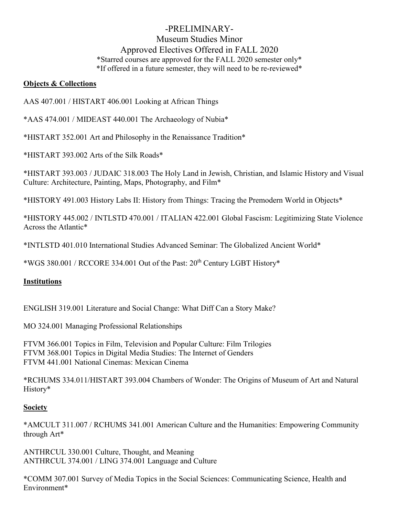# -PRELIMINARY-Museum Studies Minor Approved Electives Offered in FALL 2020 \*Starred courses are approved for the FALL 2020 semester only\* \*If offered in a future semester, they will need to be re-reviewed\*

### **Objects & Collections**

AAS 407.001 / HISTART 406.001 Looking at African Things

\*AAS 474.001 / MIDEAST 440.001 The Archaeology of Nubia\*

\*HISTART 352.001 Art and Philosophy in the Renaissance Tradition\*

\*HISTART 393.002 Arts of the Silk Roads\*

\*HISTART 393.003 / JUDAIC 318.003 The Holy Land in Jewish, Christian, and Islamic History and Visual Culture: Architecture, Painting, Maps, Photography, and Film\*

\*HISTORY 491.003 History Labs II: History from Things: Tracing the Premodern World in Objects\*

\*HISTORY 445.002 / INTLSTD 470.001 / ITALIAN 422.001 Global Fascism: Legitimizing State Violence Across the Atlantic\*

\*INTLSTD 401.010 International Studies Advanced Seminar: The Globalized Ancient World\*

\*WGS 380.001 / RCCORE 334.001 Out of the Past:  $20<sup>th</sup>$  Century LGBT History\*

## **Institutions**

ENGLISH 319.001 Literature and Social Change: What Diff Can a Story Make?

MO 324.001 Managing Professional Relationships

FTVM 366.001 Topics in Film, Television and Popular Culture: Film Trilogies FTVM 368.001 Topics in Digital Media Studies: The Internet of Genders FTVM 441.001 National Cinemas: Mexican Cinema

\*RCHUMS 334.011/HISTART 393.004 Chambers of Wonder: The Origins of Museum of Art and Natural History\*

#### **Society**

\*AMCULT 311.007 / RCHUMS 341.001 American Culture and the Humanities: Empowering Community through Art\*

ANTHRCUL 330.001 Culture, Thought, and Meaning ANTHRCUL 374.001 / LING 374.001 Language and Culture

\*COMM 307.001 Survey of Media Topics in the Social Sciences: Communicating Science, Health and Environment\*